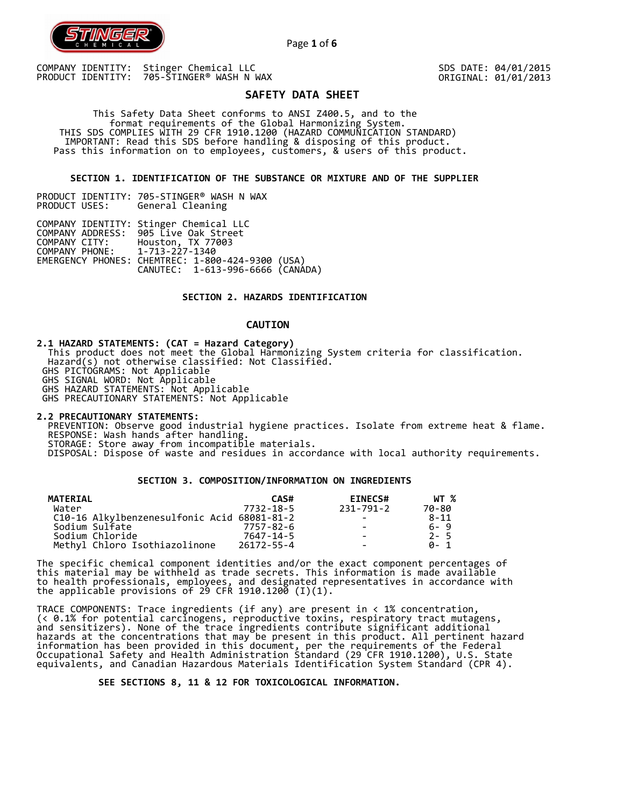

SDS DATE: 04/01/2015 ORIGINAL: 01/01/2013

# **SAFETY DATA SHEET**

Page **1** of **6**

 This Safety Data Sheet conforms to ANSI Z400.5, and to the format requirements of the Global Harmonizing System. THIS SDS COMPLIES WITH 29 CFR 1910.1200 (HAZARD COMMUNICATION STANDARD) IMPORTANT: Read this SDS before handling & disposing of this product. Pass this information on to employees, customers, & users of this product.

# **SECTION 1. IDENTIFICATION OF THE SUBSTANCE OR MIXTURE AND OF THE SUPPLIER**

|               | PRODUCT IDENTITY: 705-STINGER® WASH N WAX |
|---------------|-------------------------------------------|
| PRODUCT USES: | General Cleaning                          |

| COMPANY IDENTITY: Stinger Chemical LLC           |  |
|--------------------------------------------------|--|
| COMPANY ADDRESS: 905 Live Oak Street             |  |
| COMPANY CITY: Houston, TX 77003                  |  |
| COMPANY PHONE: 1-713-227-1340                    |  |
| EMERGENCY PHONES: CHEMTREC: 1-800-424-9300 (USA) |  |
| CANUTEC: 1-613-996-6666 (CANÁDA)                 |  |

# **SECTION 2. HAZARDS IDENTIFICATION**

# **CAUTION**

**2.1 HAZARD STATEMENTS: (CAT = Hazard Category)**

 This product does not meet the Global Harmonizing System criteria for classification. Hazard(s) not otherwise classified: Not Classified.

GHS PICTOGRAMS: Not Applicable

GHS SIGNAL WORD: Not Applicable

GHS HAZARD STATEMENTS: Not Applicable

GHS PRECAUTIONARY STATEMENTS: Not Applicable

**2.2 PRECAUTIONARY STATEMENTS:**  PREVENTION: Observe good industrial hygiene practices. Isolate from extreme heat & flame. RESPONSE: Wash hands after handling. STORAGE: Store away from incompatible materials. DISPOSAL: Dispose of waste and residues in accordance with local authority requirements.

## **SECTION 3. COMPOSITION/INFORMATION ON INGREDIENTS**

| <b>MATERIAL</b>                             | CAS#       | <b>EINECS#</b>           | WT %     |
|---------------------------------------------|------------|--------------------------|----------|
| Water                                       | 7732-18-5  | 231-791-2                | 70-80    |
| C10-16 Alkylbenzenesulfonic Acid 68081-81-2 |            |                          | $8 - 11$ |
| Sodium Sulfate                              | 7757-82-6  | $\sim$                   | $6 - 9$  |
| Sodium Chloride                             | 7647-14-5  | $\overline{\phantom{0}}$ | $2 - 5$  |
| Methyl Chloro Isothiazolinone               | 26172-55-4 | $\overline{\phantom{0}}$ | A-1      |

The specific chemical component identities and/or the exact component percentages of this material may be withheld as trade secrets. This information is made available to health professionals, employees, and designated representatives in accordance with the applicable provisions of 29 CFR 1910.1200̄ (I)(1).  $\overline{\phantom{a}}$ 

TRACE COMPONENTS: Trace ingredients (if any) are present in < 1% concentration, (< 0.1% for potential carcinogens, reproductive toxins, respiratory tract mutagens, and sensitizers). None of the trace ingredients contribute significant additional hazards at the concentrations that may be present in this product. All pertinent hazard information has been provided in this document, per the requirements of the Federal Occupational Safety and Health Administration Standard (29 CFR 1910.1200), U.S. State equivalents, and Canadian Hazardous Materials Identification System Standard (CPR 4).

 **SEE SECTIONS 8, 11 & 12 FOR TOXICOLOGICAL INFORMATION.**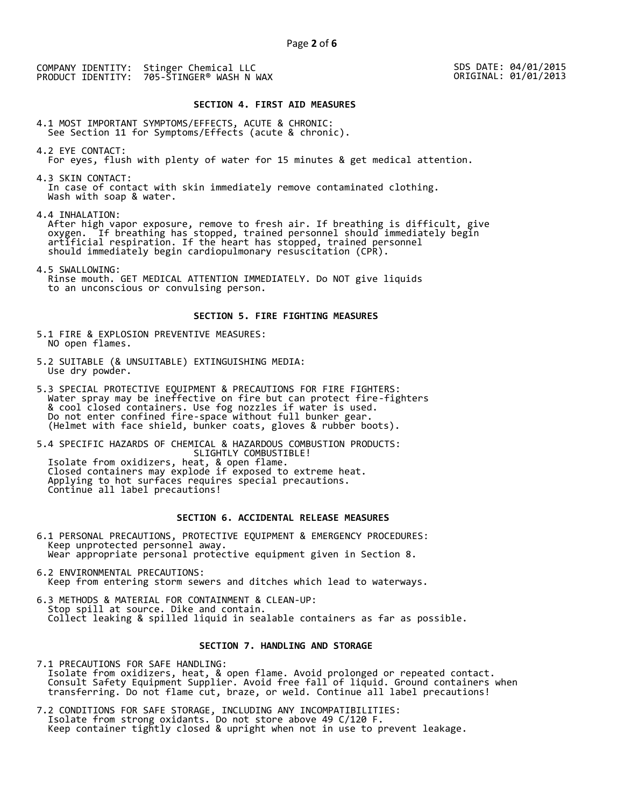SDS DATE: 04/01/2015 ORIGINAL: 01/01/2013

## **SECTION 4. FIRST AID MEASURES**

4.1 MOST IMPORTANT SYMPTOMS/EFFECTS, ACUTE & CHRONIC: See Section 11 for Symptoms/Effects (acute & chronic).

4.2 EYE CONTACT: For eyes, flush with plenty of water for 15 minutes & get medical attention.

4.3 SKIN CONTACT: In case of contact with skin immediately remove contaminated clothing. Wash with soap & water.

4.4 INHALATION:

 After high vapor exposure, remove to fresh air. If breathing is difficult, give oxygen. If breathing has stopped, trained personnel should immediately begin artificial respiration. If the heart has stopped, trained personnel should immediately begin cardiopulmonary resuscitation (CPR).

4.5 SWALLOWING: Rinse mouth. GET MEDICAL ATTENTION IMMEDIATELY. Do NOT give liquids to an unconscious or convulsing person.

## **SECTION 5. FIRE FIGHTING MEASURES**

5.1 FIRE & EXPLOSION PREVENTIVE MEASURES: NO open flames.

- 5.2 SUITABLE (& UNSUITABLE) EXTINGUISHING MEDIA: Use dry powder.
- 5.3 SPECIAL PROTECTIVE EQUIPMENT & PRECAUTIONS FOR FIRE FIGHTERS: Water spray may be ineffective on fire but can protect fire-fighters & cool closed containers. Use fog nozzles if water is used. Do not enter confined fire-space without full bunker gear. (Helmet with face shield, bunker coats, gloves & rubber boots).

5.4 SPECIFIC HAZARDS OF CHEMICAL & HAZARDOUS COMBUSTION PRODUCTS: SLIGHTLY COMBUSTIBLE! Isolate from oxidizers, heat, & open flame. Closed containers may explode if exposed to extreme heat. Applying to hot surfaces requires special precautions. Continue all label precautions!

# **SECTION 6. ACCIDENTAL RELEASE MEASURES**

- 6.1 PERSONAL PRECAUTIONS, PROTECTIVE EQUIPMENT & EMERGENCY PROCEDURES: Keep unprotected personnel away. Wear appropriate personal protective equipment given in Section 8.
- 6.2 ENVIRONMENTAL PRECAUTIONS: Keep from entering storm sewers and ditches which lead to waterways.
- 6.3 METHODS & MATERIAL FOR CONTAINMENT & CLEAN-UP: Stop spill at source. Dike and contain. Collect leaking & spilled liquid in sealable containers as far as possible.

## **SECTION 7. HANDLING AND STORAGE**

7.1 PRECAUTIONS FOR SAFE HANDLING: Isolate from oxidizers, heat, & open flame. Avoid prolonged or repeated contact. Consult Safety Equipment Supplier. Avoid free fall of liquid. Ground containers when transferring. Do not flame cut, braze, or weld. Continue all label precautions!

7.2 CONDITIONS FOR SAFE STORAGE, INCLUDING ANY INCOMPATIBILITIES: Isolate from strong oxidants. Do not store above 49 C/120 F. Keep container tightly closed & upright when not in use to prevent leakage.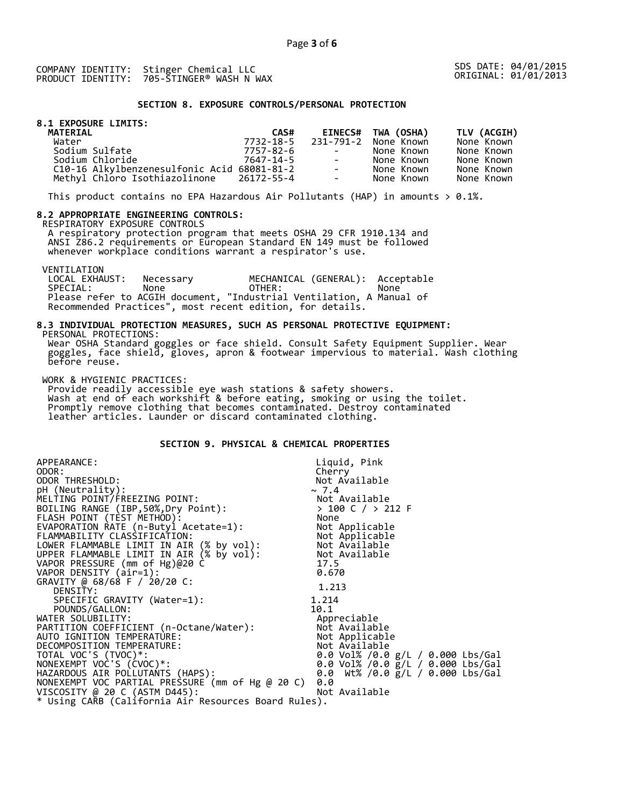SDS DATE: 04/01/2015 ORIGINAL: 01/01/2013

# **SECTION 8. EXPOSURE CONTROLS/PERSONAL PROTECTION**

# **8.1 EXPOSURE LIMITS:**

| <b>MATERIAL</b>                             | CAS#      |                      | EINECS# TWA (OSHA)   | TLV (ACGIH) |
|---------------------------------------------|-----------|----------------------|----------------------|-------------|
| Water                                       | 7732-18-5 |                      | 231-791-2 None Known | None Known  |
| Sodium Sulfate                              | 7757-82-6 | and the state of the | None Known           | None Known  |
| Sodium Chloride                             | 7647-14-5 | $\sim$ 100 $\mu$     | None Known           | None Known  |
| C10-16 Alkylbenzenesulfonic Acid 68081-81-2 |           | $\sim$               | None Known           | None Known  |
| Methyl Chloro Isothiazolinone 26172-55-4    |           | $\sim$               | None Known           | None Known  |

This product contains no EPA Hazardous Air Pollutants (HAP) in amounts  $> 0.1\%$ .

## **8.2 APPROPRIATE ENGINEERING CONTROLS:**

RESPIRATORY EXPOSURE CONTROLS

 A respiratory protection program that meets OSHA 29 CFR 1910.134 and ANSI Z86.2 requirements or European Standard EN 149 must be followed whenever workplace conditions warrant a respirator's use.

VENTILATION<br>LOCAL EXHAUST: LOCAL EXHAUST: Necessary MECHANICAL (GENERAL): Acceptable SPECIAL: None OTHER: None Please refer to ACGIH document, "Industrial Ventilation, A Manual of Recommended Practices", most recent edition, for details.

#### **8.3 INDIVIDUAL PROTECTION MEASURES, SUCH AS PERSONAL PROTECTIVE EQUIPMENT:**  PERSONAL PROTECTIONS:

 Wear OSHA Standard goggles or face shield. Consult Safety Equipment Supplier. Wear goggles, face shield, gloves, apron & footwear impervious to material. Wash clothing before reuse.

WORK & HYGIENIC PRACTICES:

 Provide readily accessible eye wash stations & safety showers. Wash at end of each workshift & before eating, smoking or using the toilet. Promptly remove clothing that becomes contaminated. Destroy contaminated leather articles. Launder or discard contaminated clothing.

# **SECTION 9. PHYSICAL & CHEMICAL PROPERTIES**

| APPEARANCE:                                                                                                                                       | Liquid, Pink                               |
|---------------------------------------------------------------------------------------------------------------------------------------------------|--------------------------------------------|
| ODOR:                                                                                                                                             | Cherry                                     |
| ODOR THRESHOLD:                                                                                                                                   | Not Available                              |
| pH (Neutrality):                                                                                                                                  | $\sim 7.4$                                 |
| MELTING POINT/FREEZING POINT:                                                                                                                     |                                            |
| BOILING RANGE (IBP, 50%, Dry Point):                                                                                                              |                                            |
| FLASH POINT (TÈST METHOD):                                                                                                                        | NOT AVAIIW---<br>> 100 C / > 212 F<br>None |
| EVAPORATION RATE (n-Butyl Acetate=1):                                                                                                             | Not Applicable                             |
| FLAMMABILITY CLASS̀IFICATION:<br>LOWER FLAMMABLE LIMIT IN AIR (% by vol): Not Available<br>UPPER FLAMMABLE LIMIT IN AIR (% by vol): Not Available |                                            |
|                                                                                                                                                   |                                            |
|                                                                                                                                                   |                                            |
| VAPOR PRESSURE (mm of Hg)@20 C                                                                                                                    | 17.5                                       |
| VAPOR DENSITY (air=1):                                                                                                                            | 0.670                                      |
| GRAVITY @ 68/68 F / 20/20 C:                                                                                                                      | 1.213                                      |
| DENSITY:                                                                                                                                          |                                            |
| SPECIFIC GRAVITY (Water=1):                                                                                                                       | 1.214                                      |
| POUNDS/GALLON:                                                                                                                                    | 10.1                                       |
| WATER SOLUBILITY:                                                                                                                                 | Appreciable                                |
| PARTITION COEFFICIENT (n-Octane/Water):                                                                                                           | Not Available                              |
| AUTO IGNITION TEMPERATURE:                                                                                                                        | Not Applicable                             |
| DECOMPOSITION TEMPERATURE:                                                                                                                        | Not Available                              |
| TOTAL VOC'S (TVOC)*:                                                                                                                              | 0.0 Vol% /0.0 g/L / 0.000 Lbs/Gal          |
| NONEXEMPT VOC'S (CVOC)*:                                                                                                                          | 0.0 Vol% /0.0 g/L / 0.000 Lbs/Gal          |
| HAZARDOUS AIR POLLUTANTS (HAPS):                                                                                                                  | 0.0 Wt% /0.0 g/L / 0.000 Lbs/Gal           |
| NONEXEMPT VOC PARTIAL PRESSURE (mm of Hg @ 20 C)                                                                                                  | 0.0                                        |
| VISCOSITY @ 20 C (ASTM D445):                                                                                                                     | Not Available                              |
| * Using CARB (California Air Resources Board Rules).                                                                                              |                                            |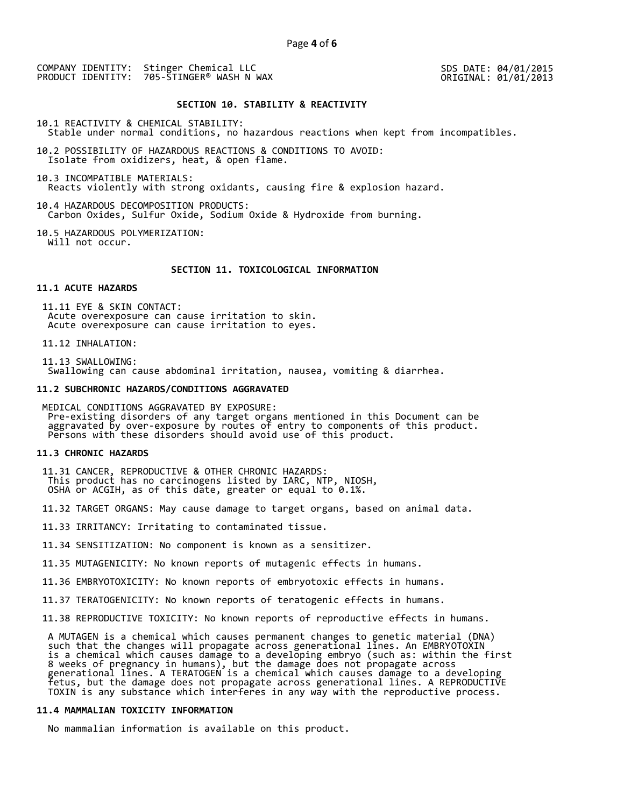SDS DATE: 04/01/2015 ORIGINAL: 01/01/2013

# **SECTION 10. STABILITY & REACTIVITY**

10.1 REACTIVITY & CHEMICAL STABILITY:

Stable under normal conditions, no hazardous reactions when kept from incompatibles.

10.2 POSSIBILITY OF HAZARDOUS REACTIONS & CONDITIONS TO AVOID: Isolate from oxidizers, heat, & open flame.

10.3 INCOMPATIBLE MATERIALS: Reacts violently with strong oxidants, causing fire & explosion hazard.

10.4 HAZARDOUS DECOMPOSITION PRODUCTS: Carbon Oxides, Sulfur Oxide, Sodium Oxide & Hydroxide from burning.

10.5 HAZARDOUS POLYMERIZATION: Will not occur.

## **SECTION 11. TOXICOLOGICAL INFORMATION**

## **11.1 ACUTE HAZARDS**

 11.11 EYE & SKIN CONTACT: Acute overexposure can cause irritation to skin. Acute overexposure can cause irritation to eyes.

11.12 INHALATION:

 11.13 SWALLOWING: Swallowing can cause abdominal irritation, nausea, vomiting & diarrhea.

#### **11.2 SUBCHRONIC HAZARDS/CONDITIONS AGGRAVATED**

 MEDICAL CONDITIONS AGGRAVATED BY EXPOSURE: Pre-existing disorders of any target organs mentioned in this Document can be aggravated by over-exposure by routes of entry to components of this product. Persons with these disorders should avoid use of this product.

#### **11.3 CHRONIC HAZARDS**

 11.31 CANCER, REPRODUCTIVE & OTHER CHRONIC HAZARDS: This product has no carcinogens listed by IARC, NTP, NIOSH, OSHA or ACGIH, as of this date, greater or equal to 0.1%.

11.32 TARGET ORGANS: May cause damage to target organs, based on animal data.

11.33 IRRITANCY: Irritating to contaminated tissue.

11.34 SENSITIZATION: No component is known as a sensitizer.

11.35 MUTAGENICITY: No known reports of mutagenic effects in humans.

11.36 EMBRYOTOXICITY: No known reports of embryotoxic effects in humans.

11.37 TERATOGENICITY: No known reports of teratogenic effects in humans.

11.38 REPRODUCTIVE TOXICITY: No known reports of reproductive effects in humans.

 A MUTAGEN is a chemical which causes permanent changes to genetic material (DNA) such that the changes will propagate across generational lines. An EMBRYOTOXIN is a chemical which causes damage to a developing embryo (such as: within the first 8 weeks of pregnancy in humans), but the damage does not propagate across generational lines. A TERATOGEN is a chemical which causes damage to a developing fetus, but the damage does not propagate across generational lines. A REPRODUCTIVE TOXIN is any substance which interferes in any way with the reproductive process.

# **11.4 MAMMALIAN TOXICITY INFORMATION**

No mammalian information is available on this product.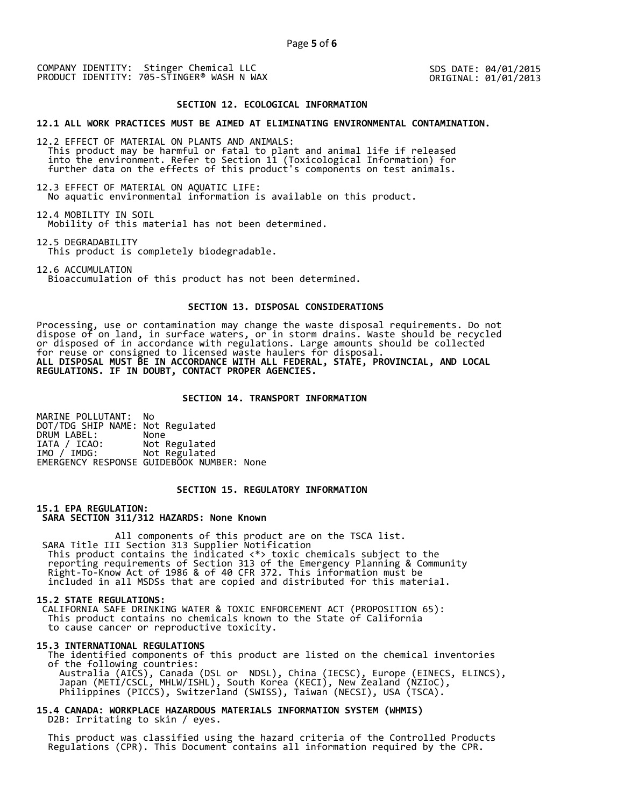SDS DATE: 04/01/2015 ORIGINAL: 01/01/2013

### **SECTION 12. ECOLOGICAL INFORMATION**

## **12.1 ALL WORK PRACTICES MUST BE AIMED AT ELIMINATING ENVIRONMENTAL CONTAMINATION.**

12.2 EFFECT OF MATERIAL ON PLANTS AND ANIMALS: This product may be harmful or fatal to plant and animal life if released into the environment. Refer to Section 11 (Toxicological Information) for further data on the effects of this product's components on test animals.

12.3 EFFECT OF MATERIAL ON AQUATIC LIFE: No aquatic environmental information is available on this product.

12.4 MOBILITY IN SOIL Mobility of this material has not been determined.

12.5 DEGRADABILITY This product is completely biodegradable.

12.6 ACCUMULATION Bioaccumulation of this product has not been determined.

# **SECTION 13. DISPOSAL CONSIDERATIONS**

Processing, use or contamination may change the waste disposal requirements. Do not dispose of on land, in surface waters, or in storm drains. Waste should be recycled or disposed of in accordance with regulations. Large amounts should be collected for reuse or consigned to licensed waste haulers for disposal. **ALL DISPOSAL MUST BE IN ACCORDANCE WITH ALL FEDERAL, STATE, PROVINCIAL, AND LOCAL REGULATIONS. IF IN DOUBT, CONTACT PROPER AGENCIES.** 

## **SECTION 14. TRANSPORT INFORMATION**

MARINE POLLUTANT: No DOT/TDG SHIP NAME: Not Regulated DRUM LABEL:<br>IATA / ICAO: IATA / ICAO: Not Regulated<br>IMO / IMDG: Not Regulated Not Regulated EMERGENCY RESPONSE GUIDEBOOK NUMBER: None

# **SECTION 15. REGULATORY INFORMATION**

**15.1 EPA REGULATION: SARA SECTION 311/312 HAZARDS: None Known** 

All components of this product are on the TSCA list. SARA Title III Section 313 Supplier Notification This product contains the indicated <\*> toxic chemicals subject to the reporting requirements of Section 313 of the Emergency Planning & Community Right-To-Know Act of 1986 & of 40 CFR 372. This information must be included in all MSDSs that are copied and distributed for this material.

#### **15.2 STATE REGULATIONS:**

 CALIFORNIA SAFE DRINKING WATER & TOXIC ENFORCEMENT ACT (PROPOSITION 65): This product contains no chemicals known to the State of California to cause cancer or reproductive toxicity.

#### **15.3 INTERNATIONAL REGULATIONS**

 The identified components of this product are listed on the chemical inventories of the following countries: Australia (AICS), Canada (DSL or NDSL), China (IECSC), Europe (EINECS, ELINCS), Japan (METI/CSCL, MHLW/ISHL), South Korea (KECI), New Zealand (NZIoC), Philippines (PICCS), Switzerland (SWISS), Taiwan (NECSI), USA (TSCA).

# **15.4 CANADA: WORKPLACE HAZARDOUS MATERIALS INFORMATION SYSTEM (WHMIS)**  D2B: Irritating to skin / eyes.

 This product was classified using the hazard criteria of the Controlled Products Regulations (CPR). This Document contains all information required by the CPR.